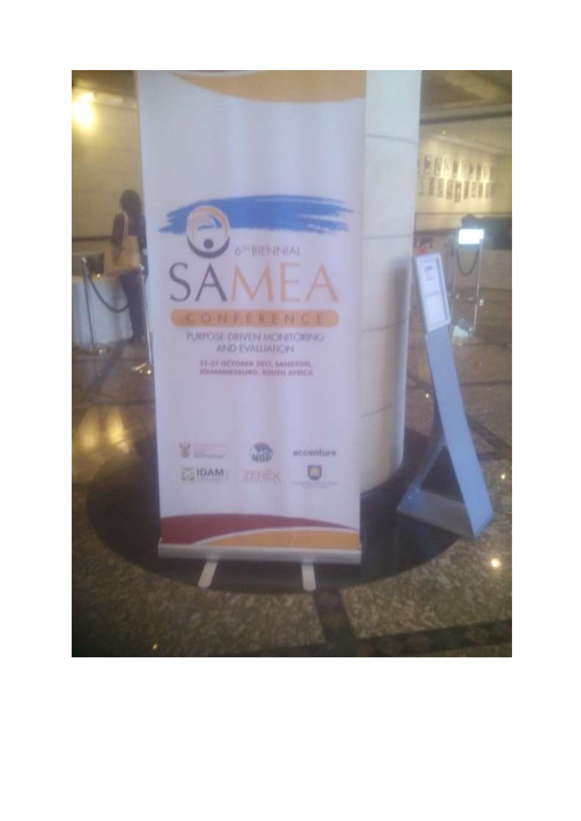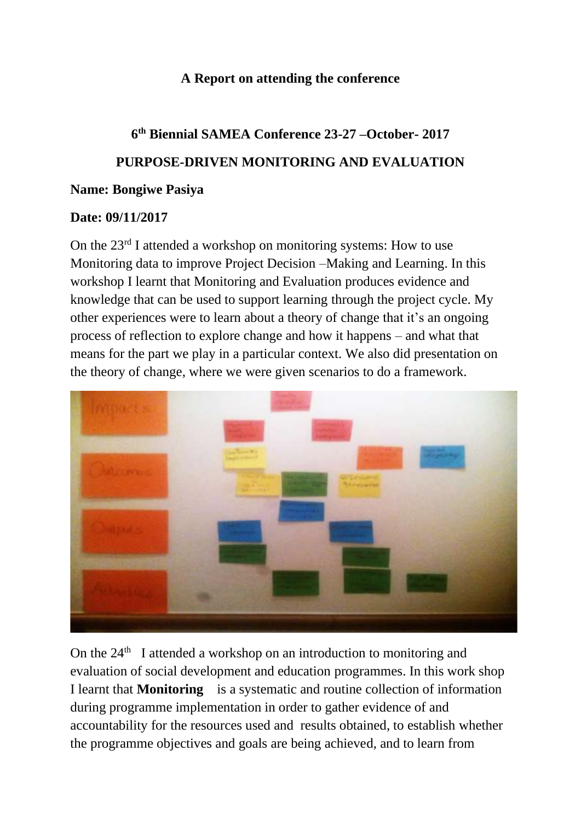## **A Report on attending the conference**

## **6 th Biennial SAMEA Conference 23-27 –October- 2017 PURPOSE-DRIVEN MONITORING AND EVALUATION Name: Bongiwe Pasiya**

## **Date: 09/11/2017**

On the  $23<sup>rd</sup>$  I attended a workshop on monitoring systems: How to use Monitoring data to improve Project Decision –Making and Learning. In this workshop I learnt that Monitoring and Evaluation produces evidence and knowledge that can be used to support learning through the project cycle. My other experiences were to learn about a theory of change that it's an ongoing process of reflection to explore change and how it happens – and what that means for the part we play in a particular context. We also did presentation on the theory of change, where we were given scenarios to do a framework.



On the  $24<sup>th</sup>$  I attended a workshop on an introduction to monitoring and evaluation of social development and education programmes. In this work shop I learnt that **Monitoring** is a systematic and routine collection of information during programme implementation in order to gather evidence of and accountability for the resources used and results obtained, to establish whether the programme objectives and goals are being achieved, and to learn from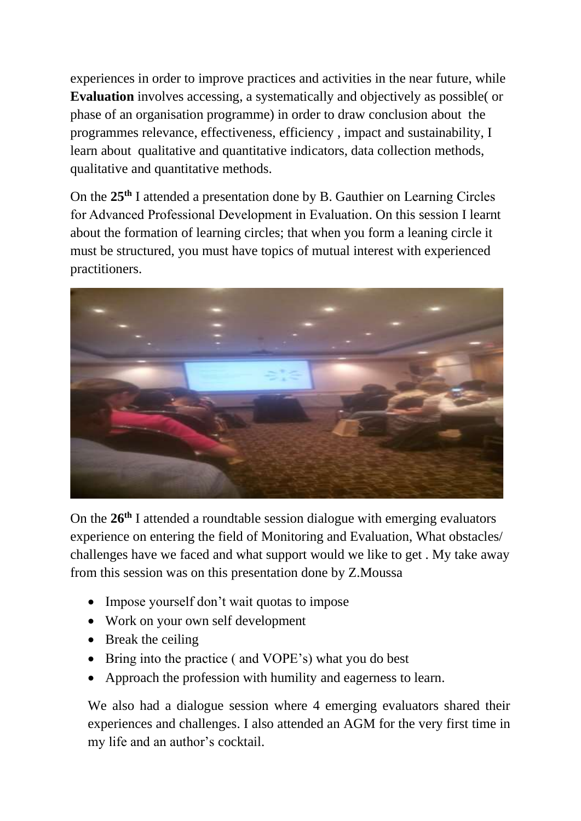experiences in order to improve practices and activities in the near future, while **Evaluation** involves accessing, a systematically and objectively as possible( or phase of an organisation programme) in order to draw conclusion about the programmes relevance, effectiveness, efficiency , impact and sustainability, I learn about qualitative and quantitative indicators, data collection methods, qualitative and quantitative methods.

On the **25th** I attended a presentation done by B. Gauthier on Learning Circles for Advanced Professional Development in Evaluation. On this session I learnt about the formation of learning circles; that when you form a leaning circle it must be structured, you must have topics of mutual interest with experienced practitioners.



On the **26th** I attended a roundtable session dialogue with emerging evaluators experience on entering the field of Monitoring and Evaluation, What obstacles/ challenges have we faced and what support would we like to get . My take away from this session was on this presentation done by Z.Moussa

- Impose yourself don't wait quotas to impose
- Work on your own self development
- Break the ceiling
- Bring into the practice ( and VOPE's) what you do best
- Approach the profession with humility and eagerness to learn.

We also had a dialogue session where 4 emerging evaluators shared their experiences and challenges. I also attended an AGM for the very first time in my life and an author's cocktail.